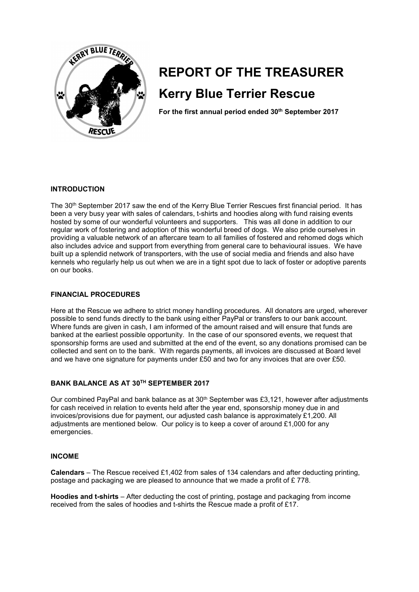

# **REPORT OF THE TREASURER Kerry Blue Terrier Rescue**

**For the first annual period ended 30th September 2017** 

### **INTRODUCTION**

The 30th September 2017 saw the end of the Kerry Blue Terrier Rescues first financial period. It has been a very busy year with sales of calendars, t-shirts and hoodies along with fund raising events hosted by some of our wonderful volunteers and supporters. This was all done in addition to our regular work of fostering and adoption of this wonderful breed of dogs. We also pride ourselves in providing a valuable network of an aftercare team to all families of fostered and rehomed dogs which also includes advice and support from everything from general care to behavioural issues. We have built up a splendid network of transporters, with the use of social media and friends and also have kennels who regularly help us out when we are in a tight spot due to lack of foster or adoptive parents on our books.

#### **FINANCIAL PROCEDURES**

Here at the Rescue we adhere to strict money handling procedures. All donators are urged, wherever possible to send funds directly to the bank using either PayPal or transfers to our bank account. Where funds are given in cash, I am informed of the amount raised and will ensure that funds are banked at the earliest possible opportunity. In the case of our sponsored events, we request that sponsorship forms are used and submitted at the end of the event, so any donations promised can be collected and sent on to the bank. With regards payments, all invoices are discussed at Board level and we have one signature for payments under £50 and two for any invoices that are over £50.

## **BANK BALANCE AS AT 30TH SEPTEMBER 2017**

Our combined PayPal and bank balance as at 30<sup>th</sup> September was £3,121, however after adjustments for cash received in relation to events held after the year end, sponsorship money due in and invoices/provisions due for payment, our adjusted cash balance is approximately £1,200. All adjustments are mentioned below. Our policy is to keep a cover of around £1,000 for any emergencies.

#### **INCOME**

**Calendars** – The Rescue received £1,402 from sales of 134 calendars and after deducting printing, postage and packaging we are pleased to announce that we made a profit of £ 778.

**Hoodies and t-shirts** – After deducting the cost of printing, postage and packaging from income received from the sales of hoodies and t-shirts the Rescue made a profit of £17.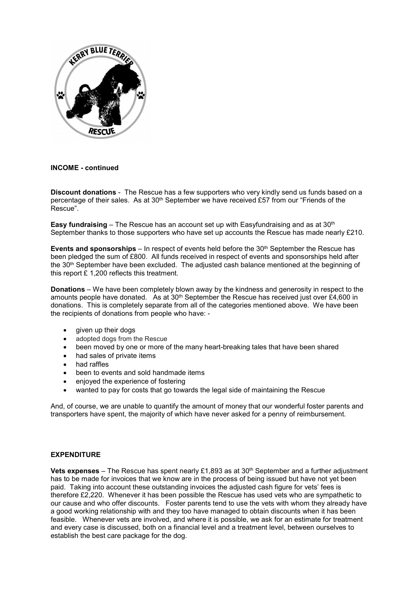

#### **INCOME - continued**

**Discount donations** - The Rescue has a few supporters who very kindly send us funds based on a percentage of their sales. As at 30<sup>th</sup> September we have received £57 from our "Friends of the Rescue".

**Easy fundraising** – The Rescue has an account set up with Easyfundraising and as at 30<sup>th</sup> September thanks to those supporters who have set up accounts the Rescue has made nearly £210.

**Events and sponsorships** – In respect of events held before the 30<sup>th</sup> September the Rescue has been pledged the sum of £800. All funds received in respect of events and sponsorships held after the 30<sup>th</sup> September have been excluded. The adjusted cash balance mentioned at the beginning of this report £ 1,200 reflects this treatment.

**Donations** – We have been completely blown away by the kindness and generosity in respect to the amounts people have donated. As at  $30<sup>th</sup>$  September the Rescue has received just over £4,600 in donations. This is completely separate from all of the categories mentioned above. We have been the recipients of donations from people who have: -

- $\bullet$  given up their dogs
- adopted dogs from the Rescue
- been moved by one or more of the many heart-breaking tales that have been shared
- $\bullet$  had sales of private items
- had raffles
- been to events and sold handmade items
- enjoyed the experience of fostering
- wanted to pay for costs that go towards the legal side of maintaining the Rescue

And, of course, we are unable to quantify the amount of money that our wonderful foster parents and transporters have spent, the majority of which have never asked for a penny of reimbursement.

#### **EXPENDITURE**

**Vets expenses** – The Rescue has spent nearly £1,893 as at 30th September and a further adjustment has to be made for invoices that we know are in the process of being issued but have not yet been paid. Taking into account these outstanding invoices the adjusted cash figure for vets' fees is therefore £2,220. Whenever it has been possible the Rescue has used vets who are sympathetic to our cause and who offer discounts. Foster parents tend to use the vets with whom they already have a good working relationship with and they too have managed to obtain discounts when it has been feasible. Whenever vets are involved, and where it is possible, we ask for an estimate for treatment and every case is discussed, both on a financial level and a treatment level, between ourselves to establish the best care package for the dog.